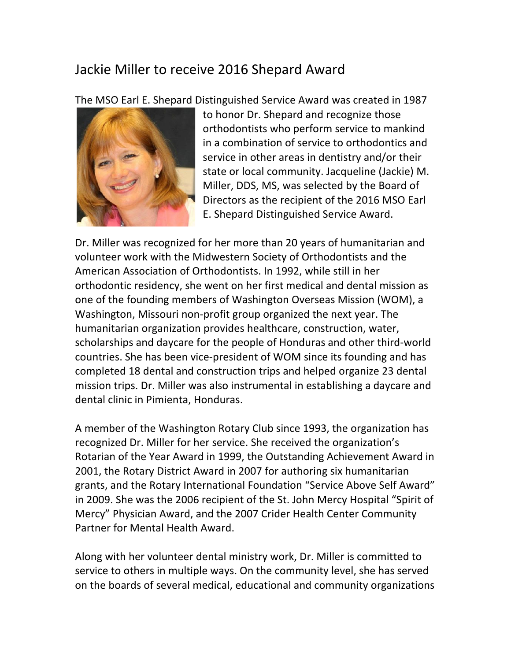## Jackie Miller to receive 2016 Shepard Award

The MSO Earl E. Shepard Distinguished Service Award was created in 1987



to honor Dr. Shepard and recognize those orthodontists who perform service to mankind in a combination of service to orthodontics and service in other areas in dentistry and/or their state or local community. Jacqueline (Jackie) M. Miller, DDS, MS, was selected by the Board of Directors as the recipient of the 2016 MSO Earl E. Shepard Distinguished Service Award.

Dr. Miller was recognized for her more than 20 years of humanitarian and volunteer work with the Midwestern Society of Orthodontists and the American Association of Orthodontists. In 1992, while still in her orthodontic residency, she went on her first medical and dental mission as one of the founding members of Washington Overseas Mission (WOM), a Washington, Missouri non-profit group organized the next year. The humanitarian organization provides healthcare, construction, water, scholarships and daycare for the people of Honduras and other third-world countries. She has been vice-president of WOM since its founding and has completed 18 dental and construction trips and helped organize 23 dental mission trips. Dr. Miller was also instrumental in establishing a daycare and dental clinic in Pimienta, Honduras.

A member of the Washington Rotary Club since 1993, the organization has recognized Dr. Miller for her service. She received the organization's Rotarian of the Year Award in 1999, the Outstanding Achievement Award in 2001, the Rotary District Award in 2007 for authoring six humanitarian grants, and the Rotary International Foundation "Service Above Self Award" in 2009. She was the 2006 recipient of the St. John Mercy Hospital "Spirit of Mercy" Physician Award, and the 2007 Crider Health Center Community Partner for Mental Health Award.

Along with her volunteer dental ministry work, Dr. Miller is committed to service to others in multiple ways. On the community level, she has served on the boards of several medical, educational and community organizations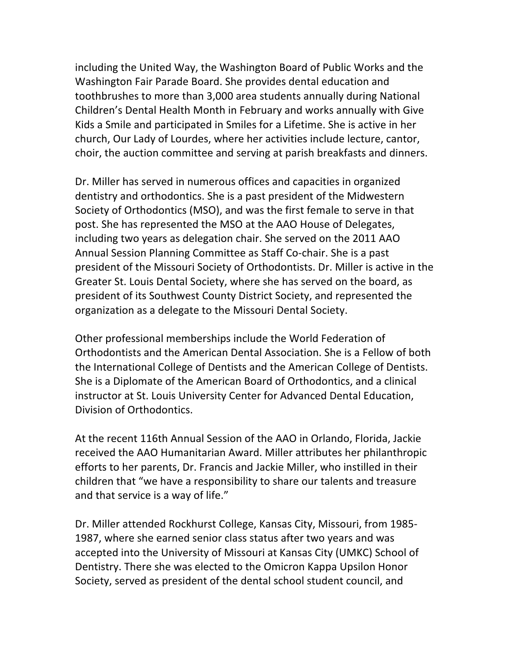including the United Way, the Washington Board of Public Works and the Washington Fair Parade Board. She provides dental education and toothbrushes to more than 3,000 area students annually during National Children's Dental Health Month in February and works annually with Give Kids a Smile and participated in Smiles for a Lifetime. She is active in her church, Our Lady of Lourdes, where her activities include lecture, cantor, choir, the auction committee and serving at parish breakfasts and dinners.

Dr. Miller has served in numerous offices and capacities in organized dentistry and orthodontics. She is a past president of the Midwestern Society of Orthodontics (MSO), and was the first female to serve in that post. She has represented the MSO at the AAO House of Delegates, including two years as delegation chair. She served on the 2011 AAO Annual Session Planning Committee as Staff Co-chair. She is a past president of the Missouri Society of Orthodontists. Dr. Miller is active in the Greater St. Louis Dental Society, where she has served on the board, as president of its Southwest County District Society, and represented the organization as a delegate to the Missouri Dental Society.

Other professional memberships include the World Federation of Orthodontists and the American Dental Association. She is a Fellow of both the International College of Dentists and the American College of Dentists. She is a Diplomate of the American Board of Orthodontics, and a clinical instructor at St. Louis University Center for Advanced Dental Education, Division of Orthodontics.

At the recent 116th Annual Session of the AAO in Orlando, Florida, Jackie received the AAO Humanitarian Award. Miller attributes her philanthropic efforts to her parents, Dr. Francis and Jackie Miller, who instilled in their children that "we have a responsibility to share our talents and treasure and that service is a way of life."

Dr. Miller attended Rockhurst College, Kansas City, Missouri, from 1985-1987, where she earned senior class status after two years and was accepted into the University of Missouri at Kansas City (UMKC) School of Dentistry. There she was elected to the Omicron Kappa Upsilon Honor Society, served as president of the dental school student council, and